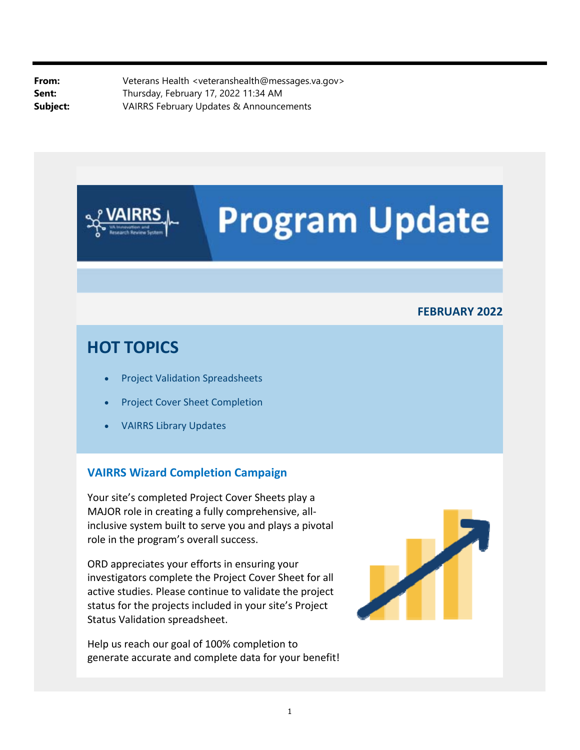**From:** Veterans Health <veteranshealth@messages.va.gov> Sent: Thursday, February 17, 2022 11:34 AM **Subject:** VAIRRS February Updates & Announcements

# **Program Update**

#### **FEBRUARY 2022**

### **HOT TOPICS**

- Project Validation Spreadsheets
- Project Cover Sheet Completion
- VAIRRS Library Updates

#### **VAIRRS Wizard Completion Campaign**

Your site's completed Project Cover Sheets play a MAJOR role in creating a fully comprehensive, all‐ inclusive system built to serve you and plays a pivotal role in the program's overall success.

ORD appreciates your efforts in ensuring your investigators complete the Project Cover Sheet for all active studies. Please continue to validate the project status for the projects included in your site's Project Status Validation spreadsheet.

Help us reach our goal of 100% completion to generate accurate and complete data for your benefit!

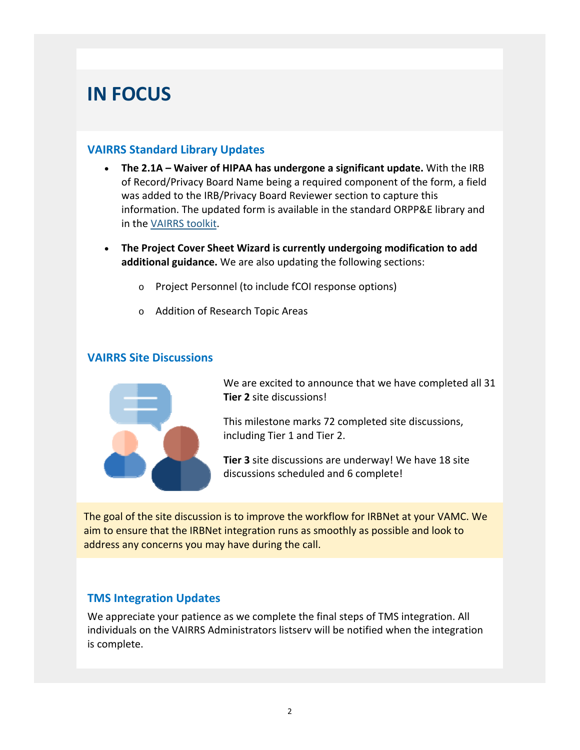# **IN FOCUS**

#### **VAIRRS Standard Library Updates**

- **The 2.1A Waiver of HIPAA has undergone a significant update.** With the IRB of Record/Privacy Board Name being a required component of the form, a field was added to the IRB/Privacy Board Reviewer section to capture this information. The updated form is available in the standard ORPP&E library and in the VAIRRS toolkit.
- **The Project Cover Sheet Wizard is currently undergoing modification to add additional guidance.** We are also updating the following sections:
	- o Project Personnel (to include fCOI response options)
	- o Addition of Research Topic Areas

#### **VAIRRS Site Discussions**



We are excited to announce that we have completed all 31 **Tier 2** site discussions!

This milestone marks 72 completed site discussions, including Tier 1 and Tier 2.

**Tier 3** site discussions are underway! We have 18 site discussions scheduled and 6 complete!

The goal of the site discussion is to improve the workflow for IRBNet at your VAMC. We aim to ensure that the IRBNet integration runs as smoothly as possible and look to address any concerns you may have during the call.

#### **TMS Integration Updates**

We appreciate your patience as we complete the final steps of TMS integration. All individuals on the VAIRRS Administrators listserv will be notified when the integration is complete.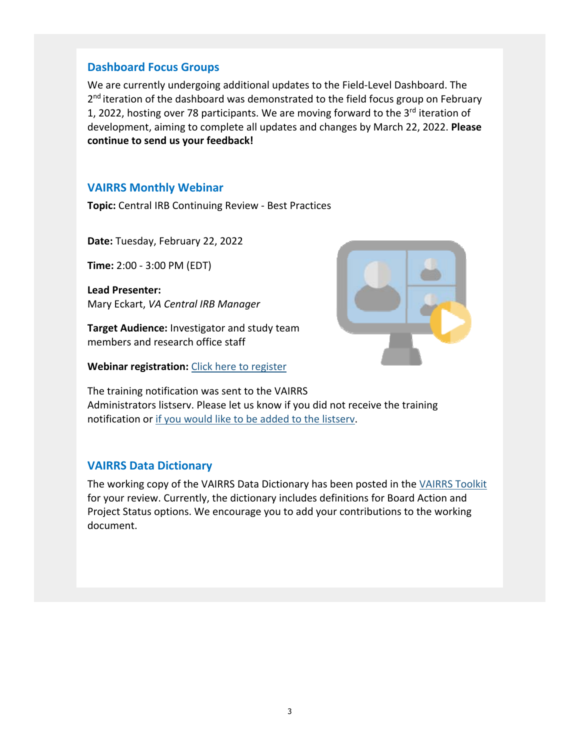#### **Dashboard Focus Groups**

We are currently undergoing additional updates to the Field‐Level Dashboard. The 2<sup>nd</sup> iteration of the dashboard was demonstrated to the field focus group on February 1, 2022, hosting over 78 participants. We are moving forward to the 3<sup>rd</sup> iteration of development, aiming to complete all updates and changes by March 22, 2022. **Please continue to send us your feedback!**

#### **VAIRRS Monthly Webinar**

**Topic:** Central IRB Continuing Review ‐ Best Practices

**Date:** Tuesday, February 22, 2022

**Time:** 2:00 ‐ 3:00 PM (EDT)

 **Lead Presenter:** Mary Eckart, *VA Central IRB Manager*

**Target Audience:** Investigator and study team members and research office staff

**Webinar registration:** Click here to register



The training notification was sent to the VAIRRS Administrators listserv. Please let us know if you did not receive the training notification or if you would like to be added to the listserv.

#### **VAIRRS Data Dictionary**

The working copy of the VAIRRS Data Dictionary has been posted in the VAIRRS Toolkit for your review. Currently, the dictionary includes definitions for Board Action and Project Status options. We encourage you to add your contributions to the working document.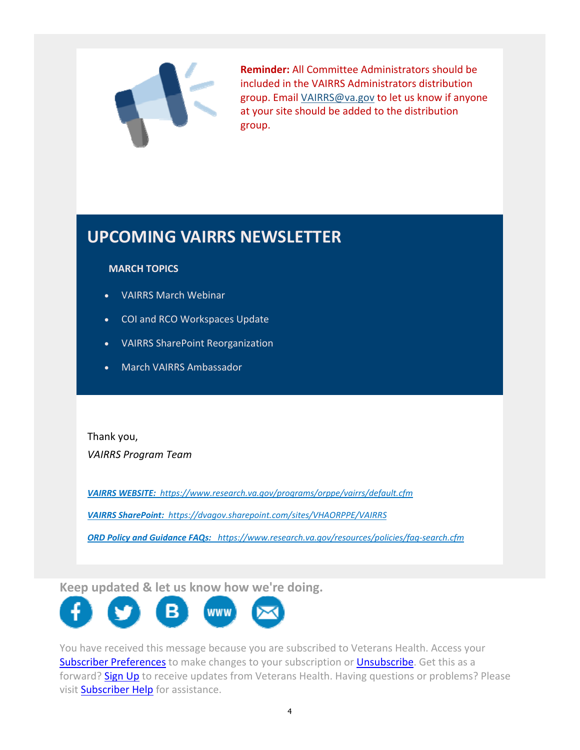

**Reminder:** All Committee Administrators should be included in the VAIRRS Administrators distribution group. Email [VAIRRS@va.gov](mailto:VAIRRS@va.gov) to let us know if anyone at your site should be added to the distribution group.

## **UPCOMING VAIRRS NEWSLETTER**

#### **MARCH TOPICS**

- VAIRRS March Webinar
- COI and RCO Workspaces Update
- VAIRRS SharePoint Reorganization
- March VAIRRS Ambassador

Thank you, *VAIRRS Program Team*

*VAIRRS WEBSITE: <https://www.research.va.gov/programs/orppe/vairrs/default.cfm>*

 *VAIRRS SharePoint: <https://dvagov.sharepoint.com/sites/VHAORPPE/VAIRRS>*

 *ORD Policy and Guidance FAQs: [https://www.research.va.gov/resources/policies/faq‐search.cfm](https://www.research.va.gov/resources/policies/faq-search.cfm)*

**Keep updated & let us know how we're doing.** 



forward? Sign Up to receive updates from Veterans Health. Having questions or problems? Please You have received this message because you are subscribed to Veterans Health. Access your Subscriber Preferences to make changes to your subscription or Unsubscribe. Get this as a visit Subscriber Help for assistance.